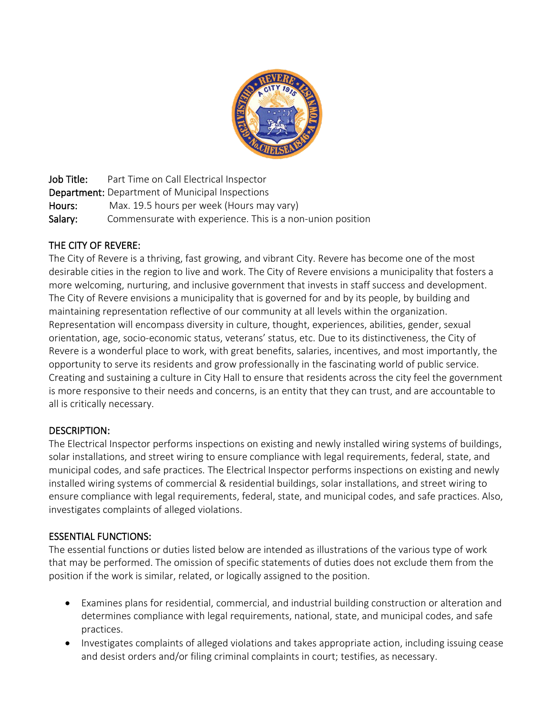

Job Title: Part Time on Call Electrical Inspector Department: Department of Municipal Inspections Hours: Max. 19.5 hours per week (Hours may vary) Salary: Commensurate with experience. This is a non-union position

# THE CITY OF REVERE:

The City of Revere is a thriving, fast growing, and vibrant City. Revere has become one of the most desirable cities in the region to live and work. The City of Revere envisions a municipality that fosters a more welcoming, nurturing, and inclusive government that invests in staff success and development. The City of Revere envisions a municipality that is governed for and by its people, by building and maintaining representation reflective of our community at all levels within the organization. Representation will encompass diversity in culture, thought, experiences, abilities, gender, sexual orientation, age, socio-economic status, veterans' status, etc. Due to its distinctiveness, the City of Revere is a wonderful place to work, with great benefits, salaries, incentives, and most importantly, the opportunity to serve its residents and grow professionally in the fascinating world of public service. Creating and sustaining a culture in City Hall to ensure that residents across the city feel the government is more responsive to their needs and concerns, is an entity that they can trust, and are accountable to all is critically necessary.

# DESCRIPTION:

The Electrical Inspector performs inspections on existing and newly installed wiring systems of buildings, solar installations, and street wiring to ensure compliance with legal requirements, federal, state, and municipal codes, and safe practices. The Electrical Inspector performs inspections on existing and newly installed wiring systems of commercial & residential buildings, solar installations, and street wiring to ensure compliance with legal requirements, federal, state, and municipal codes, and safe practices. Also, investigates complaints of alleged violations.

# ESSENTIAL FUNCTIONS:

The essential functions or duties listed below are intended as illustrations of the various type of work that may be performed. The omission of specific statements of duties does not exclude them from the position if the work is similar, related, or logically assigned to the position.

- Examines plans for residential, commercial, and industrial building construction or alteration and determines compliance with legal requirements, national, state, and municipal codes, and safe practices.
- Investigates complaints of alleged violations and takes appropriate action, including issuing cease and desist orders and/or filing criminal complaints in court; testifies, as necessary.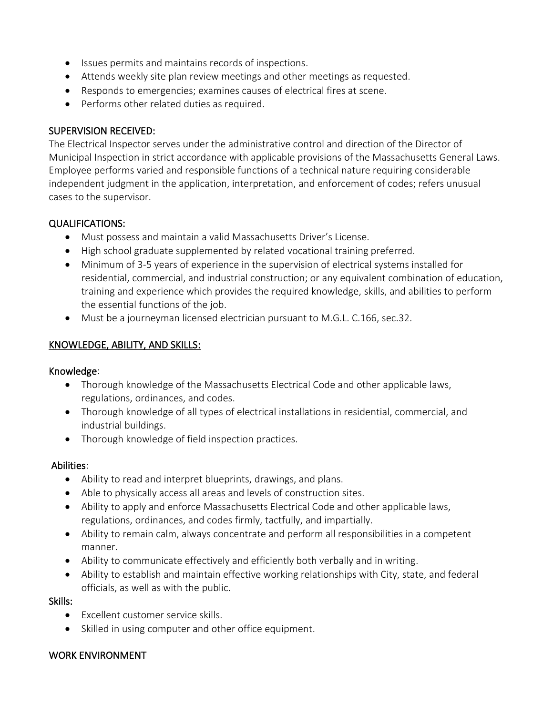- Issues permits and maintains records of inspections.
- Attends weekly site plan review meetings and other meetings as requested.
- Responds to emergencies; examines causes of electrical fires at scene.
- Performs other related duties as required.

### SUPERVISION RECEIVED:

The Electrical Inspector serves under the administrative control and direction of the Director of Municipal Inspection in strict accordance with applicable provisions of the Massachusetts General Laws. Employee performs varied and responsible functions of a technical nature requiring considerable independent judgment in the application, interpretation, and enforcement of codes; refers unusual cases to the supervisor.

# QUALIFICATIONS:

- Must possess and maintain a valid Massachusetts Driver's License.
- High school graduate supplemented by related vocational training preferred.
- Minimum of 3-5 years of experience in the supervision of electrical systems installed for residential, commercial, and industrial construction; or any equivalent combination of education, training and experience which provides the required knowledge, skills, and abilities to perform the essential functions of the job.
- Must be a journeyman licensed electrician pursuant to M.G.L. C.166, sec.32.

### KNOWLEDGE, ABILITY, AND SKILLS:

#### Knowledge:

- Thorough knowledge of the Massachusetts Electrical Code and other applicable laws, regulations, ordinances, and codes.
- Thorough knowledge of all types of electrical installations in residential, commercial, and industrial buildings.
- Thorough knowledge of field inspection practices.

#### Abilities:

- Ability to read and interpret blueprints, drawings, and plans.
- Able to physically access all areas and levels of construction sites.
- Ability to apply and enforce Massachusetts Electrical Code and other applicable laws, regulations, ordinances, and codes firmly, tactfully, and impartially.
- Ability to remain calm, always concentrate and perform all responsibilities in a competent manner.
- Ability to communicate effectively and efficiently both verbally and in writing.
- Ability to establish and maintain effective working relationships with City, state, and federal officials, as well as with the public.

#### Skills:

- Excellent customer service skills.
- Skilled in using computer and other office equipment.

#### WORK ENVIRONMENT